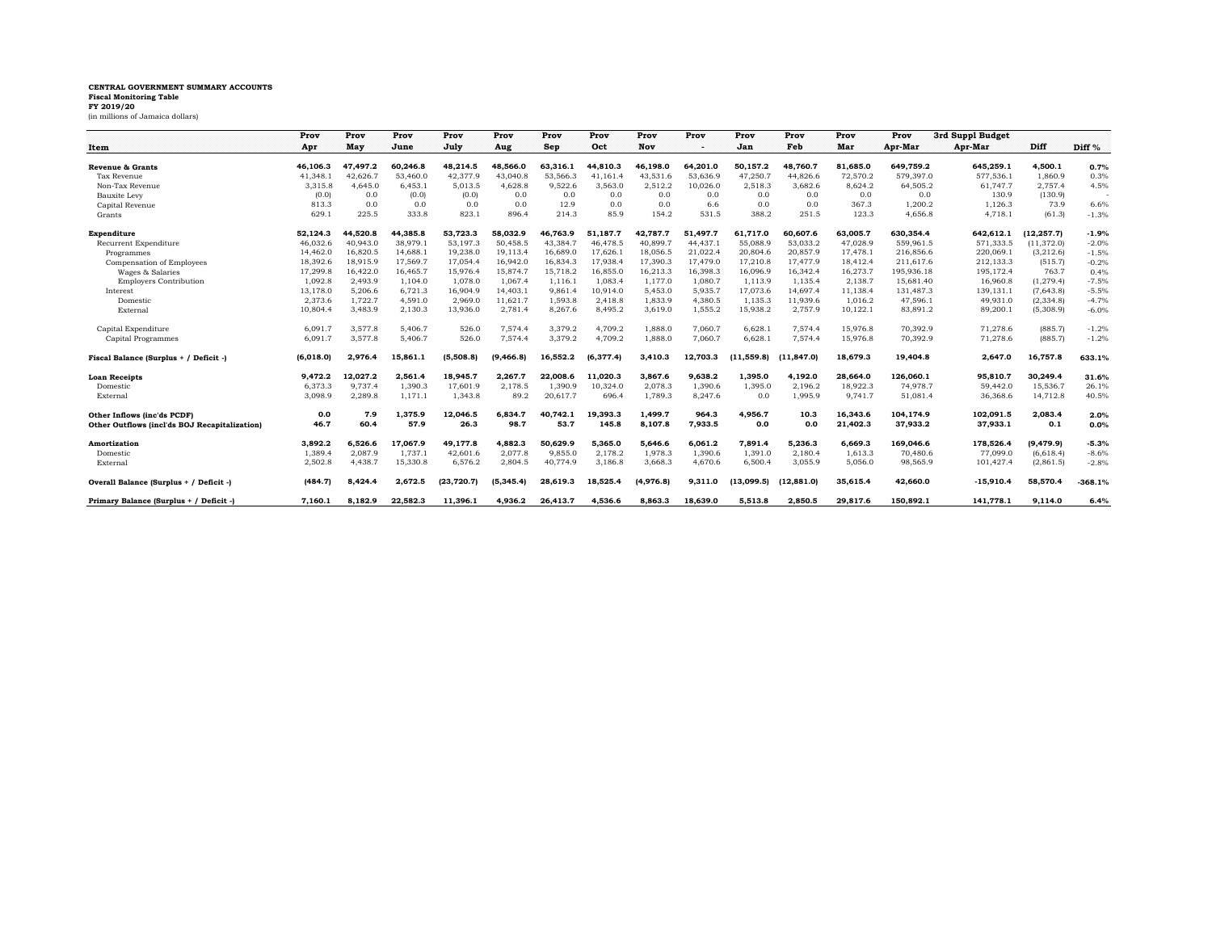## **CENTRAL GOVERNMENT SUMMARY ACCOUNTS Fiscal Monitoring Table FY 2019/20**

(in millions of Jamaica dollars)

|                                               | Prov      | Prov     | Prov     | Prov        | Prov        | Prov     | Prov       | Prov      | Prov     | Prov       | Prov        | Prov     | Prov       | 3rd Suppl Budget |             |           |
|-----------------------------------------------|-----------|----------|----------|-------------|-------------|----------|------------|-----------|----------|------------|-------------|----------|------------|------------------|-------------|-----------|
| Item                                          | Apr       | May      | June     | July        | Aug         | Sep      | Oct        | Nov       |          | Jan        | Feb         | Mar      | Apr-Mar    | Apr-Mar          | Diff        | Diff %    |
|                                               |           |          |          |             |             |          |            |           |          |            |             |          |            |                  |             |           |
| Revenue & Grants                              | 46.106.3  | 47.497.2 | 60.246.8 | 48.214.5    | 48.566.0    | 63.316.1 | 44.810.3   | 46.198.0  | 64.201.0 | 50.157.2   | 48.760.7    | 81.685.0 | 649,759.2  | 645.259.1        | 4.500.1     | 0.7%      |
| Tax Revenue                                   | 41,348.1  | 42,626.7 | 53,460.0 | 42,377.9    | 43,040.8    | 53.566.3 | 41.161.4   | 43.531.6  | 53,636.9 | 47.250.7   | 44,826.6    | 72,570.2 | 579,397.0  | 577,536.1        | 1,860.9     | 0.3%      |
| Non-Tax Revenue                               | 3,315.8   | 4,645.0  | 6,453.1  | 5,013.5     | 4,628.8     | 9,522.6  | 3,563.0    | 2,512.2   | 10,026.0 | 2,518.3    | 3,682.6     | 8,624.2  | 64,505.2   | 61,747.7         | 2,757.4     | 4.5%      |
| <b>Bauxite Levy</b>                           | (0.0)     | 0.0      | (0.0)    | (0.0)       | 0.0         | 0.0      | 0.0        | 0.0       | 0.0      | 0.0        | 0.0         | 0.0      | 0.0        | 130.9            | (130.9)     |           |
| Capital Revenue                               | 813.3     | 0.0      | 0.0      | 0.0         | 0.0         | 12.9     | 0.0        | 0.0       | 6.6      | 0.0        | 0.0         | 367.3    | 1,200.2    | 1,126.3          | 73.9        | 6.6%      |
| Grants                                        | 629.1     | 225.5    | 333.8    | 823.1       | 896.4       | 214.3    | 85.9       | 154.2     | 531.5    | 388.2      | 251.5       | 123.3    | 4,656.8    | 4,718.1          | (61.3)      | $-1.3%$   |
| Expenditure                                   | 52.124.3  | 44.520.8 | 44,385.8 | 53,723.3    | 58,032.9    | 46.763.9 | 51.187.7   | 42.787.7  | 51.497.7 | 61.717.0   | 60,607.6    | 63,005.7 | 630,354.4  | 642,612.1        | (12, 257.7) | $-1.9%$   |
| Recurrent Expenditure                         | 46,032.6  | 40,943.0 | 38,979.1 | 53,197.3    | 50,458.5    | 43,384.7 | 46,478.5   | 40,899.7  | 44,437.1 | 55,088.9   | 53,033.2    | 47,028.9 | 559,961.5  | 571,333.5        | (11, 372.0) | $-2.0%$   |
| Programmes                                    | 14,462.0  | 16,820.5 | 14,688.1 | 19,238.0    | 19,113.4    | 16,689.0 | 17,626.    | 18,056.5  | 21,022.4 | 20,804.6   | 20,857.9    | 17,478.1 | 216,856.6  | 220,069.         | (3, 212.6)  | $-1.5%$   |
| Compensation of Employees                     | 18,392.6  | 18,915.9 | 17,569.7 | 17,054.4    | 16,942.0    | 16,834.3 | 17.938.4   | 17,390.3  | 17,479.0 | 17.210.8   | 17,477.9    | 18,412.4 | 211.617.6  | 212,133.3        | (515.7)     | $-0.2%$   |
| Wages & Salaries                              | 17,299.8  | 16,422.0 | 16,465.7 | 15,976.4    | 15,874.7    | 15.718.2 | 16,855.0   | 16,213.3  | 16,398.3 | 16.096.9   | 16,342.4    | 16,273.7 | 195,936.18 | 195,172.4        | 763.7       | 0.4%      |
| <b>Employers Contribution</b>                 | 1,092.8   | 2,493.9  | 1.104.0  | 1.078.0     | 1.067.4     | 1.116.1  | 1.083.4    | 1,177.0   | 1.080.7  | 1.113.9    | 1,135.4     | 2,138.7  | 15,681.40  | 16,960.8         | (1, 279.4)  | $-7.5%$   |
| Interest                                      | 13,178.0  | 5,206.6  | 6,721.3  | 16,904.9    | 14,403.1    | 9,861.4  | 10,914.0   | 5,453.0   | 5,935.7  | 17,073.6   | 14,697.4    | 11,138.4 | 131,487.3  | 139, 131.1       | (7,643.8)   | $-5.5%$   |
| Domestic                                      | 2,373.6   | 1,722.7  | 4,591.0  | 2,969.0     | 11,621.7    | 1,593.8  | 2,418.8    | 1,833.9   | 4,380.5  | 1,135.3    | 11,939.6    | 1,016.2  | 47,596.1   | 49,931.0         | (2, 334.8)  | $-4.7%$   |
| External                                      | 10,804.4  | 3,483.9  | 2,130.3  | 13,936.0    | 2,781.4     | 8,267.6  | 8,495.2    | 3,619.0   | 1,555.2  | 15,938.2   | 2,757.9     | 10,122.1 | 83,891.2   | 89,200.1         | (5,308.9)   | $-6.0%$   |
| Capital Expenditure                           | 6,091.7   | 3,577.8  | 5,406.7  | 526.0       | 7,574.4     | 3,379.2  | 4,709.2    | 1,888.0   | 7,060.7  | 6,628.1    | 7,574.4     | 15,976.8 | 70,392.9   | 71,278.6         | (885.7)     | $-1.2%$   |
| Capital Programmes                            | 6,091.7   | 3,577.8  | 5,406.7  | 526.0       | 7,574.4     | 3,379.2  | 4,709.2    | 1,888.0   | 7,060.7  | 6,628.1    | 7,574.4     | 15,976.8 | 70,392.9   | 71,278.6         | (885.7)     | $-1.2%$   |
| Fiscal Balance (Surplus + / Deficit -)        | (6,018.0) | 2.976.4  | 15,861.1 | (5,508.8)   | (9, 466, 8) | 16.552.2 | (6, 377.4) | 3.410.3   | 12.703.3 | (11.559.8) | (11.847.0)  | 18.679.3 | 19.404.8   | 2.647.0          | 16.757.8    | 633.1%    |
| <b>Loan Receipts</b>                          | 9,472.2   | 12,027.2 | 2,561.4  | 18,945.7    | 2.267.7     | 22,008.6 | 11,020.3   | 3,867.6   | 9,638.2  | 1,395.0    | 4,192.0     | 28,664.0 | 126,060.1  | 95,810.7         | 30,249.4    | 31.6%     |
| Domestic                                      | 6,373.3   | 9,737.4  | 1,390.3  | 17,601.9    | 2,178.5     | 1,390.9  | 10,324.0   | 2,078.3   | 1,390.6  | 1,395.0    | 2,196.2     | 18,922.3 | 74,978.7   | 59,442.0         | 15,536.7    | 26.1%     |
| External                                      | 3.098.9   | 2,289.8  | 1,171.1  | 1,343.8     | 89.2        | 20,617.7 | 696.4      | 1,789.3   | 8,247.6  | 0.0        | 1,995.9     | 9.741.7  | 51,081.4   | 36,368.6         | 14,712.8    | 40.5%     |
| Other Inflows (inc'ds PCDF)                   | 0.0       | 7.9      | 1,375.9  | 12.046.5    | 6.834.7     | 40.742.1 | 19.393.3   | 1.499.7   | 964.3    | 4.956.7    | 10.3        | 16,343.6 | 104,174.9  | 102,091.5        | 2,083.4     | 2.0%      |
| Other Outflows (incl'ds BOJ Recapitalization) | 46.7      | 60.4     | 57.9     | 26.3        | 98.7        | 53.7     | 145.8      | 8,107.8   | 7,933.5  | 0.0        | 0.0         | 21,402.3 | 37,933.2   | 37,933.1         | 0.1         | 0.0%      |
| Amortization                                  | 3,892.2   | 6,526.6  | 17,067.9 | 49,177.8    | 4,882.3     | 50,629.9 | 5,365.0    | 5,646.6   | 6,061.2  | 7,891.4    | 5,236.3     | 6,669.3  | 169,046.6  | 178,526.4        | (9, 479.9)  | $-5.3%$   |
| Domestic                                      | 1,389.4   | 2,087.9  | 1,737.1  | 42,601.6    | 2,077.8     | 9,855.0  | 2,178.2    | 1,978.3   | 1,390.6  | 1,391.0    | 2,180.4     | 1,613.3  | 70,480.6   | 77,099.0         | (6,618.4)   | $-8.6%$   |
| External                                      | 2,502.8   | 4,438.7  | 15,330.8 | 6,576.2     | 2,804.5     | 40,774.9 | 3,186.8    | 3,668.3   | 4,670.6  | 6,500.4    | 3,055.9     | 5,056.0  | 98,565.9   | 101,427.4        | (2,861.5)   | $-2.8%$   |
| Overall Balance (Surplus + / Deficit -)       | (484.7)   | 8,424.4  | 2,672.5  | (23, 720.7) | (5, 345.4)  | 28,619.3 | 18,525.4   | (4,976.8) | 9,311.0  | (13,099.5) | (12, 881.0) | 35,615.4 | 42,660.0   | $-15,910.4$      | 58,570.4    | $-368.1%$ |
| Primary Balance (Surplus + / Deficit -)       | 7.160.1   | 8.182.9  | 22.582.3 | 11,396.1    | 4.936.2     | 26,413.7 | 4.536.6    | 8.863.3   | 18,639.0 | 5.513.8    | 2.850.5     | 29.817.6 | 150.892.1  | 141,778.1        | 9,114.0     | 6.4%      |